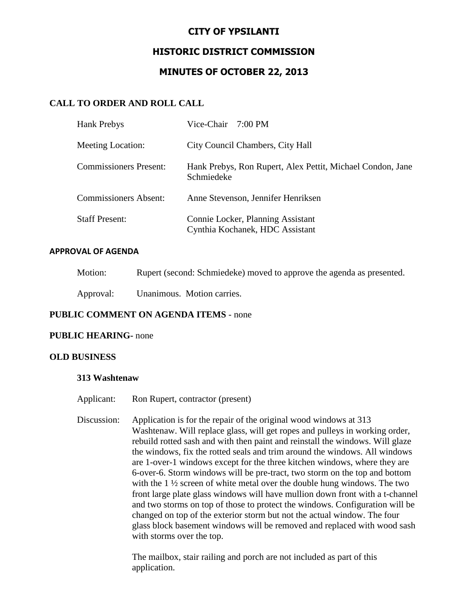# **CITY OF YPSILANTI**

# **HISTORIC DISTRICT COMMISSION**

# **MINUTES OF OCTOBER 22, 2013**

# **CALL TO ORDER AND ROLL CALL**

| <b>Hank Prebys</b>            | Vice-Chair 7:00 PM                                                       |
|-------------------------------|--------------------------------------------------------------------------|
| <b>Meeting Location:</b>      | City Council Chambers, City Hall                                         |
| <b>Commissioners Present:</b> | Hank Prebys, Ron Rupert, Alex Pettit, Michael Condon, Jane<br>Schmiedeke |
| <b>Commissioners Absent:</b>  | Anne Stevenson, Jennifer Henriksen                                       |
| <b>Staff Present:</b>         | Connie Locker, Planning Assistant<br>Cynthia Kochanek, HDC Assistant     |

#### **APPROVAL OF AGENDA**

| Motion: | Rupert (second: Schmiedeke) moved to approve the agenda as presented. |  |  |  |
|---------|-----------------------------------------------------------------------|--|--|--|
|         |                                                                       |  |  |  |

Approval: Unanimous. Motion carries.

# **PUBLIC COMMENT ON AGENDA ITEMS** - none

## **PUBLIC HEARING-** none

## **OLD BUSINESS**

#### **313 Washtenaw**

- Applicant: Ron Rupert, contractor (present)
- Discussion: Application is for the repair of the original wood windows at 313 Washtenaw. Will replace glass, will get ropes and pulleys in working order, rebuild rotted sash and with then paint and reinstall the windows. Will glaze the windows, fix the rotted seals and trim around the windows. All windows are 1-over-1 windows except for the three kitchen windows, where they are 6-over-6. Storm windows will be pre-tract, two storm on the top and bottom with the 1 ½ screen of white metal over the double hung windows. The two front large plate glass windows will have mullion down front with a t-channel and two storms on top of those to protect the windows. Configuration will be changed on top of the exterior storm but not the actual window. The four glass block basement windows will be removed and replaced with wood sash with storms over the top.

The mailbox, stair railing and porch are not included as part of this application.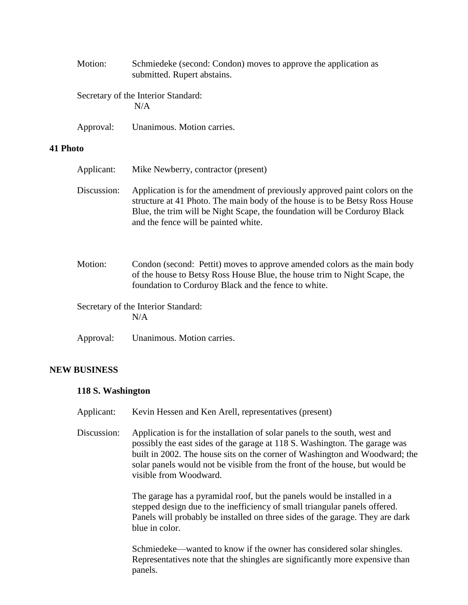|          | Motion:     | Schmiedeke (second: Condon) moves to approve the application as<br>submitted. Rupert abstains.                                                                                                                                                                                  |
|----------|-------------|---------------------------------------------------------------------------------------------------------------------------------------------------------------------------------------------------------------------------------------------------------------------------------|
|          |             | Secretary of the Interior Standard:<br>N/A                                                                                                                                                                                                                                      |
|          | Approval:   | Unanimous. Motion carries.                                                                                                                                                                                                                                                      |
| 41 Photo |             |                                                                                                                                                                                                                                                                                 |
|          | Applicant:  | Mike Newberry, contractor (present)                                                                                                                                                                                                                                             |
|          | Discussion: | Application is for the amendment of previously approved paint colors on the<br>structure at 41 Photo. The main body of the house is to be Betsy Ross House<br>Blue, the trim will be Night Scape, the foundation will be Corduroy Black<br>and the fence will be painted white. |
|          | Motion:     | Condon (second: Pettit) moves to approve amended colors as the main body<br>of the house to Betsy Ross House Blue, the house trim to Night Scape, the<br>foundation to Corduroy Black and the fence to white.                                                                   |
|          |             | Secretary of the Interior Standard:<br>N/A                                                                                                                                                                                                                                      |
|          | Approval:   | Unanimous. Motion carries.                                                                                                                                                                                                                                                      |

## **NEW BUSINESS**

## **118 S. Washington**

Applicant: Kevin Hessen and Ken Arell, representatives (present)

Discussion: Application is for the installation of solar panels to the south, west and possibly the east sides of the garage at 118 S. Washington. The garage was built in 2002. The house sits on the corner of Washington and Woodward; the solar panels would not be visible from the front of the house, but would be visible from Woodward.

> The garage has a pyramidal roof, but the panels would be installed in a stepped design due to the inefficiency of small triangular panels offered. Panels will probably be installed on three sides of the garage. They are dark blue in color.

> Schmiedeke—wanted to know if the owner has considered solar shingles. Representatives note that the shingles are significantly more expensive than panels.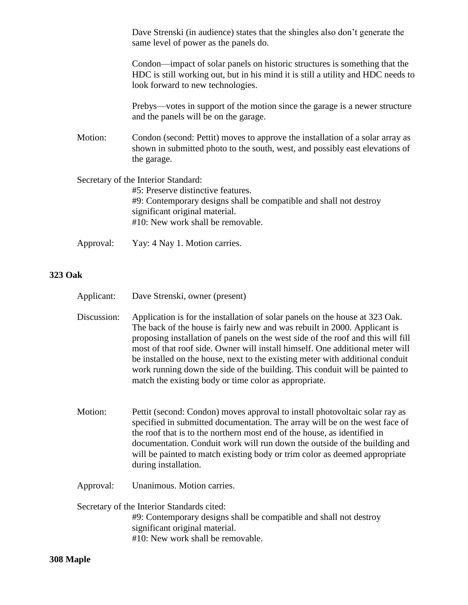Dave Strenski (in audience) states that the shingles also don't generate the same level of power as the panels do.

Condon—impact of solar panels on historic structures is something that the HDC is still working out, but in his mind it is still a utility and HDC needs to look forward to new technologies.

Prebys—votes in support of the motion since the garage is a newer structure and the panels will be on the garage.

Motion: Condon (second: Pettit) moves to approve the installation of a solar array as shown in submitted photo to the south, west, and possibly east elevations of the garage.

Secretary of the Interior Standard:

#5: Preserve distinctive features. #9: Contemporary designs shall be compatible and shall not destroy significant original material. #10: New work shall be removable.

Approval: Yay: 4 Nay 1. Motion carries.

# **323 Oak**

| Applicant: | Dave Strenski, owner (present) |  |
|------------|--------------------------------|--|
|------------|--------------------------------|--|

Discussion: Application is for the installation of solar panels on the house at 323 Oak. The back of the house is fairly new and was rebuilt in 2000. Applicant is proposing installation of panels on the west side of the roof and this will fill most of that roof side. Owner will install himself. One additional meter will be installed on the house, next to the existing meter with additional conduit work running down the side of the building. This conduit will be painted to match the existing body or time color as appropriate.

- Motion: Pettit (second: Condon) moves approval to install photovoltaic solar ray as specified in submitted documentation. The array will be on the west face of the roof that is to the northern most end of the house, as identified in documentation. Conduit work will run down the outside of the building and will be painted to match existing body or trim color as deemed appropriate during installation.
- Approval: Unanimous. Motion carries.

Secretary of the Interior Standards cited: #9: Contemporary designs shall be compatible and shall not destroy significant original material. #10: New work shall be removable.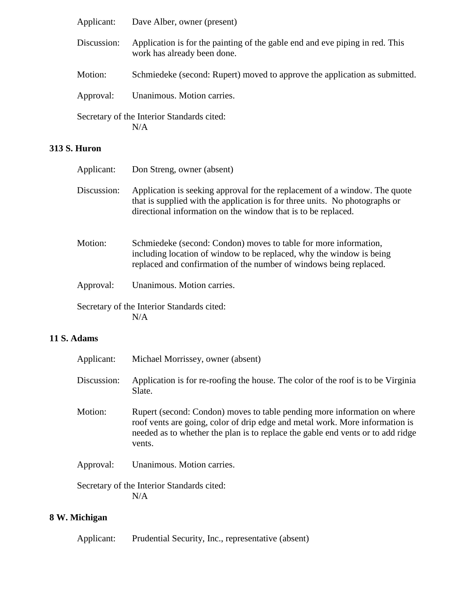| Applicant:  | Dave Alber, owner (present)                                                                                 |
|-------------|-------------------------------------------------------------------------------------------------------------|
| Discussion: | Application is for the painting of the gable end and eve piping in red. This<br>work has already been done. |
| Motion:     | Schmiedeke (second: Rupert) moved to approve the application as submitted.                                  |
| Approval:   | Unanimous. Motion carries.                                                                                  |
|             | Secretary of the Interior Standards cited:<br>N/A                                                           |

# **313 S. Huron**

| Applicant:  | Don Streng, owner (absent)                                                                                                                                                                                                 |
|-------------|----------------------------------------------------------------------------------------------------------------------------------------------------------------------------------------------------------------------------|
| Discussion: | Application is seeking approval for the replacement of a window. The quote<br>that is supplied with the application is for three units. No photographs or<br>directional information on the window that is to be replaced. |
| Motion:     | Schmiedeke (second: Condon) moves to table for more information,<br>including location of window to be replaced, why the window is being<br>replaced and confirmation of the number of windows being replaced.             |
| Approval:   | Unanimous. Motion carries.                                                                                                                                                                                                 |
|             | Secretary of the Interior Standards cited:<br>N/A                                                                                                                                                                          |

# **11 S. Adams**

| Applicant:    | Michael Morrissey, owner (absent)                                                                                                                                                                                                                     |
|---------------|-------------------------------------------------------------------------------------------------------------------------------------------------------------------------------------------------------------------------------------------------------|
| Discussion:   | Application is for re-roofing the house. The color of the roof is to be Virginia<br>Slate.                                                                                                                                                            |
| Motion:       | Rupert (second: Condon) moves to table pending more information on where<br>roof vents are going, color of drip edge and metal work. More information is<br>needed as to whether the plan is to replace the gable end vents or to add ridge<br>vents. |
| Approval:     | Unanimous. Motion carries.                                                                                                                                                                                                                            |
|               | Secretary of the Interior Standards cited:<br>N/A                                                                                                                                                                                                     |
|               |                                                                                                                                                                                                                                                       |
| 8 W. Michigan |                                                                                                                                                                                                                                                       |

Applicant: Prudential Security, Inc., representative (absent)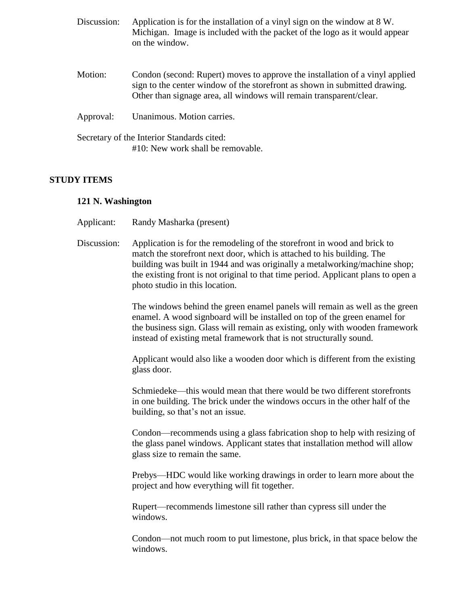| Discussion: | Application is for the installation of a vinyl sign on the window at 8 W.<br>Michigan. Image is included with the packet of the logo as it would appear<br>on the window.                                                         |
|-------------|-----------------------------------------------------------------------------------------------------------------------------------------------------------------------------------------------------------------------------------|
| Motion:     | Condon (second: Rupert) moves to approve the installation of a vinyl applied<br>sign to the center window of the storefront as shown in submitted drawing.<br>Other than signage area, all windows will remain transparent/clear. |
| Approval:   | Unanimous. Motion carries.                                                                                                                                                                                                        |
|             | Secretary of the Interior Standards cited:<br>#10: New work shall be removable.                                                                                                                                                   |

## **STUDY ITEMS**

#### **121 N. Washington**

- Applicant: Randy Masharka (present)
- Discussion: Application is for the remodeling of the storefront in wood and brick to match the storefront next door, which is attached to his building. The building was built in 1944 and was originally a metalworking/machine shop; the existing front is not original to that time period. Applicant plans to open a photo studio in this location.

The windows behind the green enamel panels will remain as well as the green enamel. A wood signboard will be installed on top of the green enamel for the business sign. Glass will remain as existing, only with wooden framework instead of existing metal framework that is not structurally sound.

Applicant would also like a wooden door which is different from the existing glass door.

Schmiedeke—this would mean that there would be two different storefronts in one building. The brick under the windows occurs in the other half of the building, so that's not an issue.

Condon—recommends using a glass fabrication shop to help with resizing of the glass panel windows. Applicant states that installation method will allow glass size to remain the same.

Prebys—HDC would like working drawings in order to learn more about the project and how everything will fit together.

Rupert—recommends limestone sill rather than cypress sill under the windows.

Condon—not much room to put limestone, plus brick, in that space below the windows.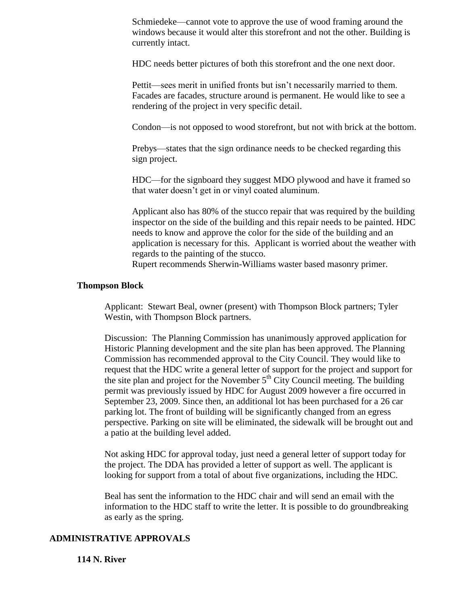Schmiedeke—cannot vote to approve the use of wood framing around the windows because it would alter this storefront and not the other. Building is currently intact.

HDC needs better pictures of both this storefront and the one next door.

Pettit—sees merit in unified fronts but isn't necessarily married to them. Facades are facades, structure around is permanent. He would like to see a rendering of the project in very specific detail.

Condon—is not opposed to wood storefront, but not with brick at the bottom.

Prebys—states that the sign ordinance needs to be checked regarding this sign project.

HDC—for the signboard they suggest MDO plywood and have it framed so that water doesn't get in or vinyl coated aluminum.

Applicant also has 80% of the stucco repair that was required by the building inspector on the side of the building and this repair needs to be painted. HDC needs to know and approve the color for the side of the building and an application is necessary for this. Applicant is worried about the weather with regards to the painting of the stucco.

Rupert recommends Sherwin-Williams waster based masonry primer.

#### **Thompson Block**

Applicant: Stewart Beal, owner (present) with Thompson Block partners; Tyler Westin, with Thompson Block partners.

Discussion: The Planning Commission has unanimously approved application for Historic Planning development and the site plan has been approved. The Planning Commission has recommended approval to the City Council. They would like to request that the HDC write a general letter of support for the project and support for the site plan and project for the November  $5<sup>th</sup>$  City Council meeting. The building permit was previously issued by HDC for August 2009 however a fire occurred in September 23, 2009. Since then, an additional lot has been purchased for a 26 car parking lot. The front of building will be significantly changed from an egress perspective. Parking on site will be eliminated, the sidewalk will be brought out and a patio at the building level added.

Not asking HDC for approval today, just need a general letter of support today for the project. The DDA has provided a letter of support as well. The applicant is looking for support from a total of about five organizations, including the HDC.

Beal has sent the information to the HDC chair and will send an email with the information to the HDC staff to write the letter. It is possible to do groundbreaking as early as the spring.

#### **ADMINISTRATIVE APPROVALS**

#### **114 N. River**